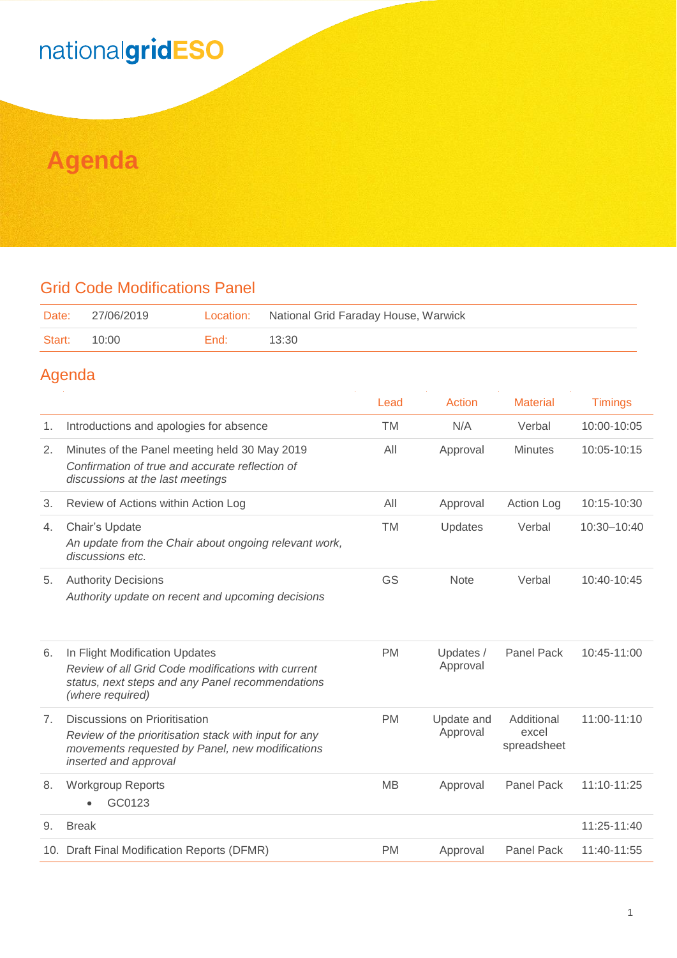### nationalgridESO

### **Agenda**

#### Grid Code Modifications Panel

| Date:  | 27/06/2019 |      | Location: National Grid Faraday House, Warwick |
|--------|------------|------|------------------------------------------------|
| Start: | 10:00      | End: | 13:30                                          |

#### Agenda

|                |                                                                                                                                                                    | Lead      | Action                 | <b>Material</b>                    | <b>Timings</b> |
|----------------|--------------------------------------------------------------------------------------------------------------------------------------------------------------------|-----------|------------------------|------------------------------------|----------------|
| 1.             | Introductions and apologies for absence                                                                                                                            | <b>TM</b> | N/A                    | Verbal                             | 10:00-10:05    |
| 2.             | Minutes of the Panel meeting held 30 May 2019<br>Confirmation of true and accurate reflection of<br>discussions at the last meetings                               | All       | Approval               | <b>Minutes</b>                     | 10:05-10:15    |
| 3.             | Review of Actions within Action Log                                                                                                                                | All       | Approval               | Action Log                         | 10:15-10:30    |
| 4.             | Chair's Update<br>An update from the Chair about ongoing relevant work,<br>discussions etc.                                                                        | TM        | Updates                | Verbal                             | 10:30-10:40    |
| 5.             | <b>Authority Decisions</b><br>Authority update on recent and upcoming decisions                                                                                    | GS        | <b>Note</b>            | Verbal                             | 10:40-10:45    |
| 6.             | In Flight Modification Updates<br>Review of all Grid Code modifications with current<br>status, next steps and any Panel recommendations<br>(where required)       | <b>PM</b> | Updates /<br>Approval  | <b>Panel Pack</b>                  | 10:45-11:00    |
| 7 <sub>1</sub> | Discussions on Prioritisation<br>Review of the prioritisation stack with input for any<br>movements requested by Panel, new modifications<br>inserted and approval | <b>PM</b> | Update and<br>Approval | Additional<br>excel<br>spreadsheet | 11:00-11:10    |
| 8.             | <b>Workgroup Reports</b><br>GC0123                                                                                                                                 | <b>MB</b> | Approval               | Panel Pack                         | 11:10-11:25    |
| 9.             | <b>Break</b>                                                                                                                                                       |           |                        |                                    | 11:25-11:40    |
|                | 10. Draft Final Modification Reports (DFMR)                                                                                                                        | <b>PM</b> | Approval               | Panel Pack                         | 11:40-11:55    |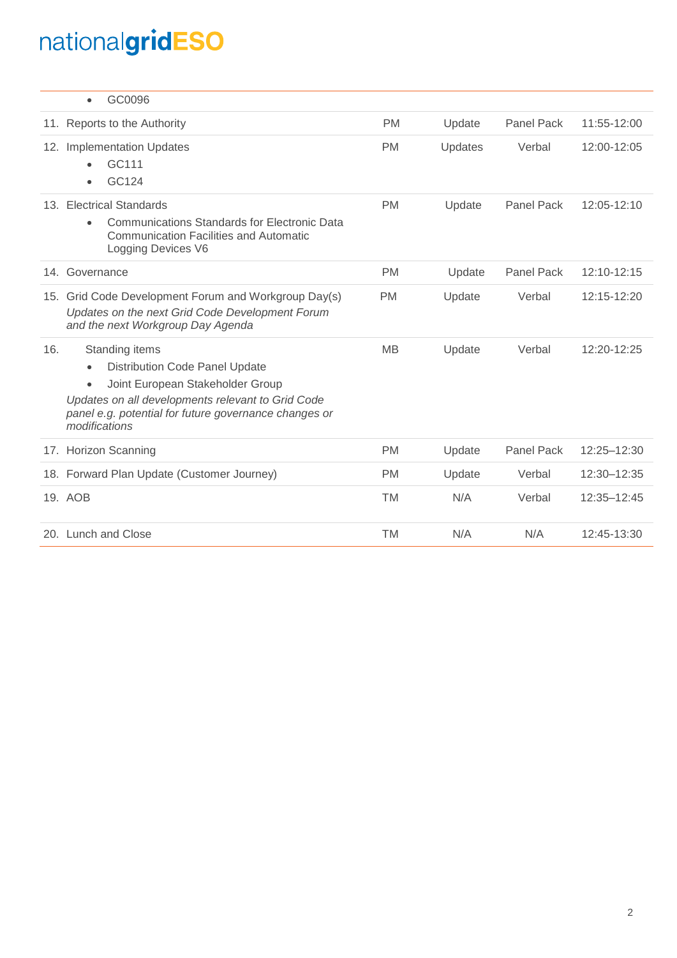# nationalgridESO

|     | GC0096<br>$\bullet$                                                                                                                                                                                                                                  |           |         |                   |             |
|-----|------------------------------------------------------------------------------------------------------------------------------------------------------------------------------------------------------------------------------------------------------|-----------|---------|-------------------|-------------|
|     | 11. Reports to the Authority                                                                                                                                                                                                                         | <b>PM</b> | Update  | Panel Pack        | 11:55-12:00 |
|     | 12. Implementation Updates<br>GC111<br>GC124                                                                                                                                                                                                         | <b>PM</b> | Updates | Verbal            | 12:00-12:05 |
|     | 13. Electrical Standards<br><b>Communications Standards for Electronic Data</b><br>$\bullet$<br><b>Communication Facilities and Automatic</b><br>Logging Devices V6                                                                                  | <b>PM</b> | Update  | <b>Panel Pack</b> | 12:05-12:10 |
|     | 14. Governance                                                                                                                                                                                                                                       | <b>PM</b> | Update  | Panel Pack        | 12:10-12:15 |
| 15. | Grid Code Development Forum and Workgroup Day(s)<br>Updates on the next Grid Code Development Forum<br>and the next Workgroup Day Agenda                                                                                                             | <b>PM</b> | Update  | Verbal            | 12:15-12:20 |
| 16. | Standing items<br><b>Distribution Code Panel Update</b><br>$\bullet$<br>Joint European Stakeholder Group<br>$\bullet$<br>Updates on all developments relevant to Grid Code<br>panel e.g. potential for future governance changes or<br>modifications | <b>MB</b> | Update  | Verbal            | 12:20-12:25 |
|     | 17. Horizon Scanning                                                                                                                                                                                                                                 | <b>PM</b> | Update  | <b>Panel Pack</b> | 12:25-12:30 |
|     | 18. Forward Plan Update (Customer Journey)                                                                                                                                                                                                           | <b>PM</b> | Update  | Verbal            | 12:30-12:35 |
|     | 19. AOB                                                                                                                                                                                                                                              | <b>TM</b> | N/A     | Verbal            | 12:35-12:45 |
|     | 20. Lunch and Close                                                                                                                                                                                                                                  | <b>TM</b> | N/A     | N/A               | 12:45-13:30 |